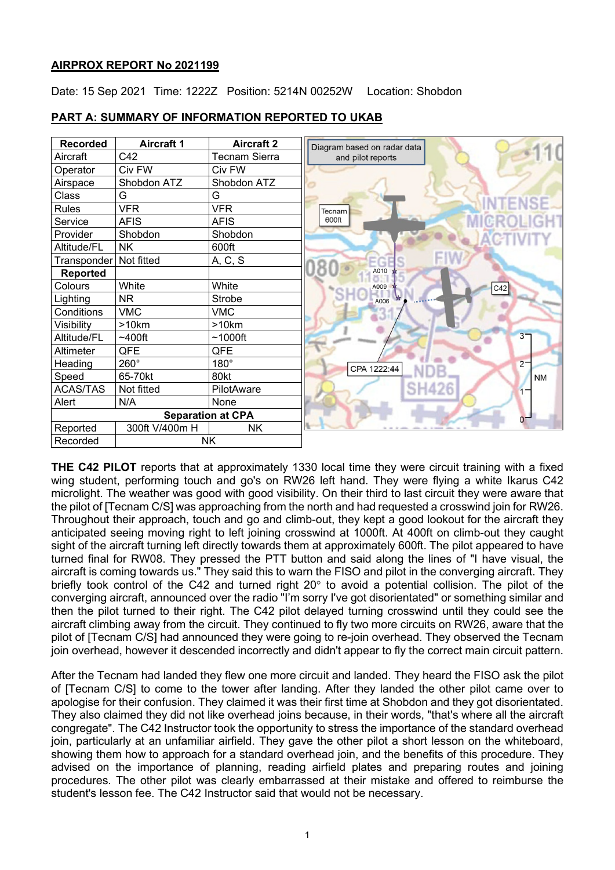### **AIRPROX REPORT No 2021199**

Date: 15 Sep 2021 Time: 1222Z Position: 5214N 00252W Location: Shobdon



### **PART A: SUMMARY OF INFORMATION REPORTED TO UKAB**

**THE C42 PILOT** reports that at approximately 1330 local time they were circuit training with a fixed wing student, performing touch and go's on RW26 left hand. They were flying a white Ikarus C42 microlight. The weather was good with good visibility. On their third to last circuit they were aware that the pilot of [Tecnam C/S] was approaching from the north and had requested a crosswind join for RW26. Throughout their approach, touch and go and climb-out, they kept a good lookout for the aircraft they anticipated seeing moving right to left joining crosswind at 1000ft. At 400ft on climb-out they caught sight of the aircraft turning left directly towards them at approximately 600ft. The pilot appeared to have turned final for RW08. They pressed the PTT button and said along the lines of "I have visual, the aircraft is coming towards us." They said this to warn the FISO and pilot in the converging aircraft. They briefly took control of the C42 and turned right  $20^{\circ}$  to avoid a potential collision. The pilot of the converging aircraft, announced over the radio "I'm sorry I've got disorientated" or something similar and then the pilot turned to their right. The C42 pilot delayed turning crosswind until they could see the aircraft climbing away from the circuit. They continued to fly two more circuits on RW26, aware that the pilot of [Tecnam C/S] had announced they were going to re-join overhead. They observed the Tecnam join overhead, however it descended incorrectly and didn't appear to fly the correct main circuit pattern.

After the Tecnam had landed they flew one more circuit and landed. They heard the FISO ask the pilot of [Tecnam C/S] to come to the tower after landing. After they landed the other pilot came over to apologise for their confusion. They claimed it was their first time at Shobdon and they got disorientated. They also claimed they did not like overhead joins because, in their words, "that's where all the aircraft congregate". The C42 Instructor took the opportunity to stress the importance of the standard overhead join, particularly at an unfamiliar airfield. They gave the other pilot a short lesson on the whiteboard, showing them how to approach for a standard overhead join, and the benefits of this procedure. They advised on the importance of planning, reading airfield plates and preparing routes and joining procedures. The other pilot was clearly embarrassed at their mistake and offered to reimburse the student's lesson fee. The C42 Instructor said that would not be necessary.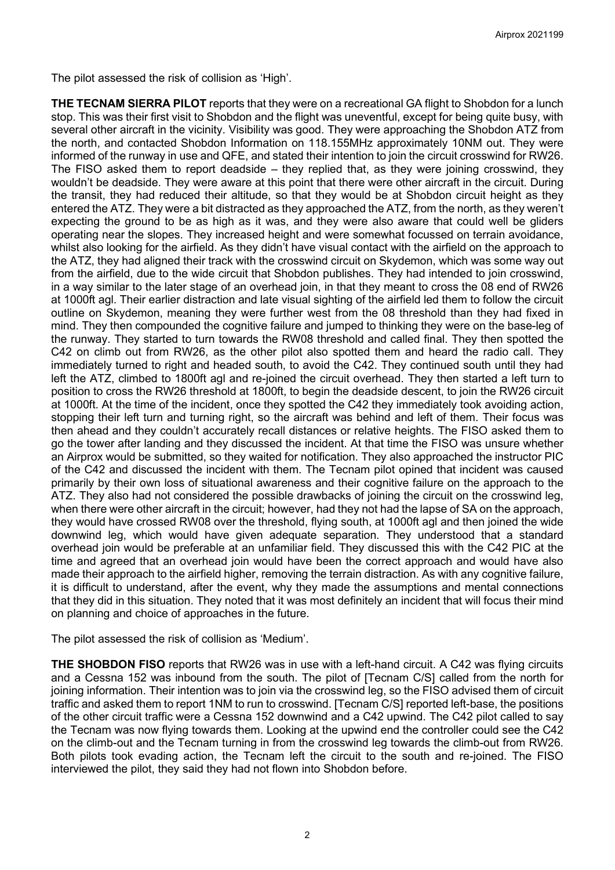The pilot assessed the risk of collision as 'High'.

**THE TECNAM SIERRA PILOT** reports that they were on a recreational GA flight to Shobdon for a lunch stop. This was their first visit to Shobdon and the flight was uneventful, except for being quite busy, with several other aircraft in the vicinity. Visibility was good. They were approaching the Shobdon ATZ from the north, and contacted Shobdon Information on 118.155MHz approximately 10NM out. They were informed of the runway in use and QFE, and stated their intention to join the circuit crosswind for RW26. The FISO asked them to report deadside – they replied that, as they were joining crosswind, they wouldn't be deadside. They were aware at this point that there were other aircraft in the circuit. During the transit, they had reduced their altitude, so that they would be at Shobdon circuit height as they entered the ATZ. They were a bit distracted as they approached the ATZ, from the north, as they weren't expecting the ground to be as high as it was, and they were also aware that could well be gliders operating near the slopes. They increased height and were somewhat focussed on terrain avoidance, whilst also looking for the airfield. As they didn't have visual contact with the airfield on the approach to the ATZ, they had aligned their track with the crosswind circuit on Skydemon, which was some way out from the airfield, due to the wide circuit that Shobdon publishes. They had intended to join crosswind, in a way similar to the later stage of an overhead join, in that they meant to cross the 08 end of RW26 at 1000ft agl. Their earlier distraction and late visual sighting of the airfield led them to follow the circuit outline on Skydemon, meaning they were further west from the 08 threshold than they had fixed in mind. They then compounded the cognitive failure and jumped to thinking they were on the base-leg of the runway. They started to turn towards the RW08 threshold and called final. They then spotted the C42 on climb out from RW26, as the other pilot also spotted them and heard the radio call. They immediately turned to right and headed south, to avoid the C42. They continued south until they had left the ATZ, climbed to 1800ft agl and re-joined the circuit overhead. They then started a left turn to position to cross the RW26 threshold at 1800ft, to begin the deadside descent, to join the RW26 circuit at 1000ft. At the time of the incident, once they spotted the C42 they immediately took avoiding action, stopping their left turn and turning right, so the aircraft was behind and left of them. Their focus was then ahead and they couldn't accurately recall distances or relative heights. The FISO asked them to go the tower after landing and they discussed the incident. At that time the FISO was unsure whether an Airprox would be submitted, so they waited for notification. They also approached the instructor PIC of the C42 and discussed the incident with them. The Tecnam pilot opined that incident was caused primarily by their own loss of situational awareness and their cognitive failure on the approach to the ATZ. They also had not considered the possible drawbacks of joining the circuit on the crosswind leg, when there were other aircraft in the circuit; however, had they not had the lapse of SA on the approach, they would have crossed RW08 over the threshold, flying south, at 1000ft agl and then joined the wide downwind leg, which would have given adequate separation. They understood that a standard overhead join would be preferable at an unfamiliar field. They discussed this with the C42 PIC at the time and agreed that an overhead join would have been the correct approach and would have also made their approach to the airfield higher, removing the terrain distraction. As with any cognitive failure, it is difficult to understand, after the event, why they made the assumptions and mental connections that they did in this situation. They noted that it was most definitely an incident that will focus their mind on planning and choice of approaches in the future.

The pilot assessed the risk of collision as 'Medium'.

**THE SHOBDON FISO** reports that RW26 was in use with a left-hand circuit. A C42 was flying circuits and a Cessna 152 was inbound from the south. The pilot of [Tecnam C/S] called from the north for joining information. Their intention was to join via the crosswind leg, so the FISO advised them of circuit traffic and asked them to report 1NM to run to crosswind. [Tecnam C/S] reported left-base, the positions of the other circuit traffic were a Cessna 152 downwind and a C42 upwind. The C42 pilot called to say the Tecnam was now flying towards them. Looking at the upwind end the controller could see the C42 on the climb-out and the Tecnam turning in from the crosswind leg towards the climb-out from RW26. Both pilots took evading action, the Tecnam left the circuit to the south and re-joined. The FISO interviewed the pilot, they said they had not flown into Shobdon before.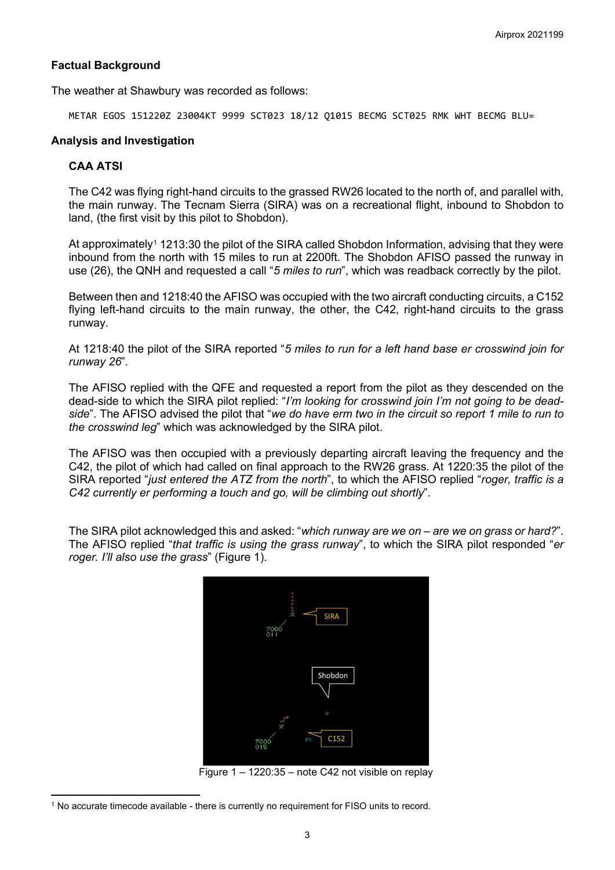#### **Factual Background**

The weather at Shawbury was recorded as follows:

METAR EGOS 151220Z 23004KT 9999 SCT023 18/12 Q1015 BECMG SCT025 RMK WHT BECMG BLU=

#### **Analysis and Investigation**

### **CAA ATSI**

The C42 was flying right-hand circuits to the grassed RW26 located to the north of, and parallel with, the main runway. The Tecnam Sierra (SIRA) was on a recreational flight, inbound to Shobdon to land, (the first visit by this pilot to Shobdon).

At approximately<sup>[1](#page-2-0)</sup> 1213:30 the pilot of the SIRA called Shobdon Information, advising that they were inbound from the north with 15 miles to run at 2200ft. The Shobdon AFISO passed the runway in use (26), the QNH and requested a call "*5 miles to run*", which was readback correctly by the pilot.

Between then and 1218:40 the AFISO was occupied with the two aircraft conducting circuits, a C152 flying left-hand circuits to the main runway, the other, the C42, right-hand circuits to the grass runway.

At 1218:40 the pilot of the SIRA reported "*5 miles to run for a left hand base er crosswind join for runway 26*".

The AFISO replied with the QFE and requested a report from the pilot as they descended on the dead-side to which the SIRA pilot replied: "*I'm looking for crosswind join I'm not going to be deadside*". The AFISO advised the pilot that "*we do have erm two in the circuit so report 1 mile to run to the crosswind leg*" which was acknowledged by the SIRA pilot.

The AFISO was then occupied with a previously departing aircraft leaving the frequency and the C42, the pilot of which had called on final approach to the RW26 grass. At 1220:35 the pilot of the SIRA reported "*just entered the ATZ from the north*", to which the AFISO replied "*roger, traffic is a C42 currently er performing a touch and go, will be climbing out shortly*".

The SIRA pilot acknowledged this and asked: "*which runway are we on – are we on grass or hard?*". The AFISO replied "*that traffic is using the grass runway*", to which the SIRA pilot responded "*er roger. I'll also use the grass*" (Figure 1).



Figure 1 – 1220:35 – note C42 not visible on replay

<span id="page-2-0"></span><sup>1</sup> No accurate timecode available - there is currently no requirement for FISO units to record.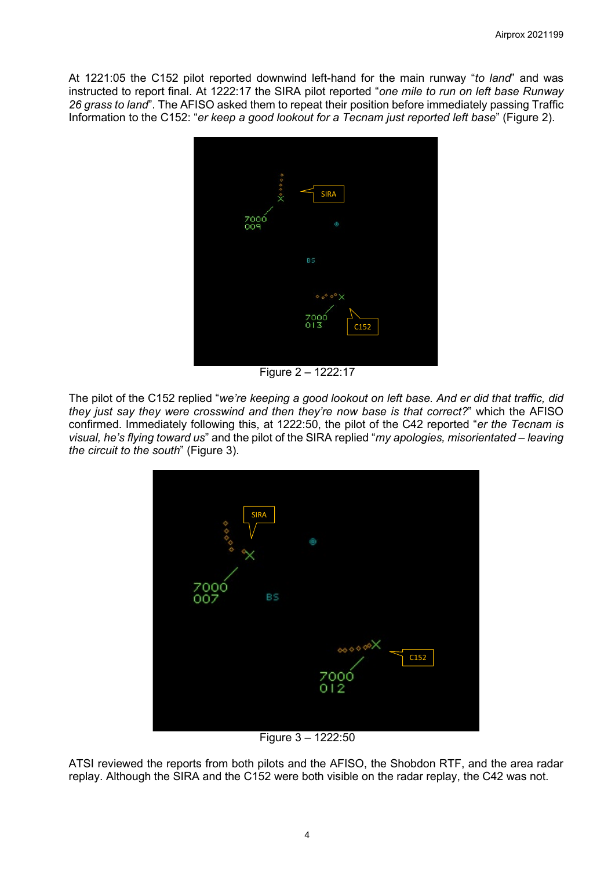At 1221:05 the C152 pilot reported downwind left-hand for the main runway "*to land*" and was instructed to report final. At 1222:17 the SIRA pilot reported "*one mile to run on left base Runway 26 grass to land*". The AFISO asked them to repeat their position before immediately passing Traffic Information to the C152: "*er keep a good lookout for a Tecnam just reported left base*" (Figure 2).



Figure 2 – 1222:17

The pilot of the C152 replied "*we're keeping a good lookout on left base. And er did that traffic, did they just say they were crosswind and then they're now base is that correct?*" which the AFISO confirmed. Immediately following this, at 1222:50, the pilot of the C42 reported "*er the Tecnam is visual, he's flying toward us*" and the pilot of the SIRA replied "*my apologies, misorientated – leaving the circuit to the south*" (Figure 3).



Figure 3 – 1222:50

ATSI reviewed the reports from both pilots and the AFISO, the Shobdon RTF, and the area radar replay. Although the SIRA and the C152 were both visible on the radar replay, the C42 was not.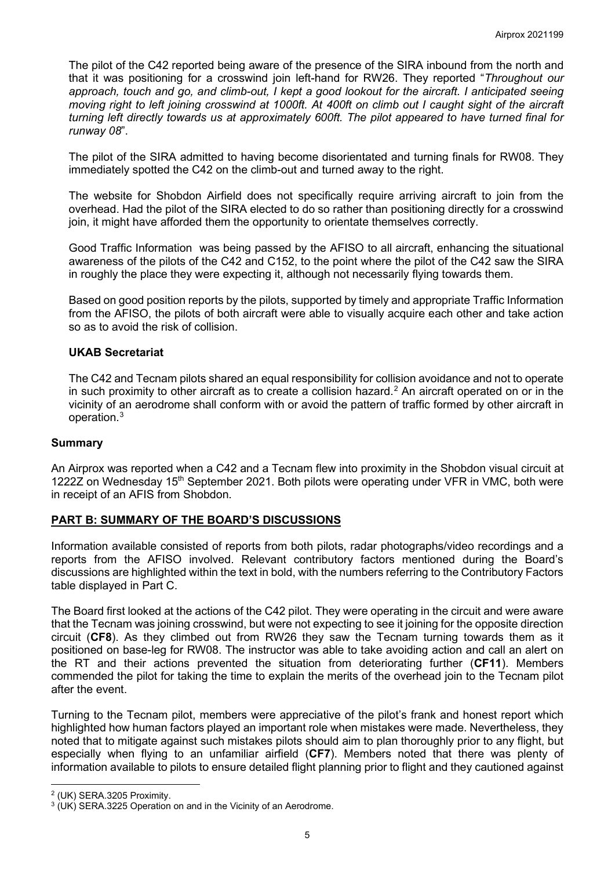The pilot of the C42 reported being aware of the presence of the SIRA inbound from the north and that it was positioning for a crosswind join left-hand for RW26. They reported "*Throughout our approach, touch and go, and climb-out, I kept a good lookout for the aircraft. I anticipated seeing moving right to left joining crosswind at 1000ft. At 400ft on climb out I caught sight of the aircraft turning left directly towards us at approximately 600ft. The pilot appeared to have turned final for runway 08*".

The pilot of the SIRA admitted to having become disorientated and turning finals for RW08. They immediately spotted the C42 on the climb-out and turned away to the right.

The website for Shobdon Airfield does not specifically require arriving aircraft to join from the overhead. Had the pilot of the SIRA elected to do so rather than positioning directly for a crosswind join, it might have afforded them the opportunity to orientate themselves correctly.

Good Traffic Information was being passed by the AFISO to all aircraft, enhancing the situational awareness of the pilots of the C42 and C152, to the point where the pilot of the C42 saw the SIRA in roughly the place they were expecting it, although not necessarily flying towards them.

Based on good position reports by the pilots, supported by timely and appropriate Traffic Information from the AFISO, the pilots of both aircraft were able to visually acquire each other and take action so as to avoid the risk of collision.

### **UKAB Secretariat**

The C42 and Tecnam pilots shared an equal responsibility for collision avoidance and not to operate in such proximity to other aircraft as to create a collision hazard.<sup>[2](#page-4-0)</sup> An aircraft operated on or in the vicinity of an aerodrome shall conform with or avoid the pattern of traffic formed by other aircraft in operation. [3](#page-4-1)

### **Summary**

An Airprox was reported when a C42 and a Tecnam flew into proximity in the Shobdon visual circuit at 1222Z on Wednesday 15<sup>th</sup> September 2021. Both pilots were operating under VFR in VMC, both were in receipt of an AFIS from Shobdon.

### **PART B: SUMMARY OF THE BOARD'S DISCUSSIONS**

Information available consisted of reports from both pilots, radar photographs/video recordings and a reports from the AFISO involved. Relevant contributory factors mentioned during the Board's discussions are highlighted within the text in bold, with the numbers referring to the Contributory Factors table displayed in Part C.

The Board first looked at the actions of the C42 pilot. They were operating in the circuit and were aware that the Tecnam was joining crosswind, but were not expecting to see it joining for the opposite direction circuit (**CF8**). As they climbed out from RW26 they saw the Tecnam turning towards them as it positioned on base-leg for RW08. The instructor was able to take avoiding action and call an alert on the RT and their actions prevented the situation from deteriorating further (**CF11**). Members commended the pilot for taking the time to explain the merits of the overhead join to the Tecnam pilot after the event.

Turning to the Tecnam pilot, members were appreciative of the pilot's frank and honest report which highlighted how human factors played an important role when mistakes were made. Nevertheless, they noted that to mitigate against such mistakes pilots should aim to plan thoroughly prior to any flight, but especially when flying to an unfamiliar airfield (**CF7**). Members noted that there was plenty of information available to pilots to ensure detailed flight planning prior to flight and they cautioned against

<span id="page-4-1"></span><span id="page-4-0"></span><sup>&</sup>lt;sup>2</sup> (UK) SERA.3205 Proximity.<br><sup>3</sup> (UK) SERA.3225 Operation on and in the Vicinity of an Aerodrome.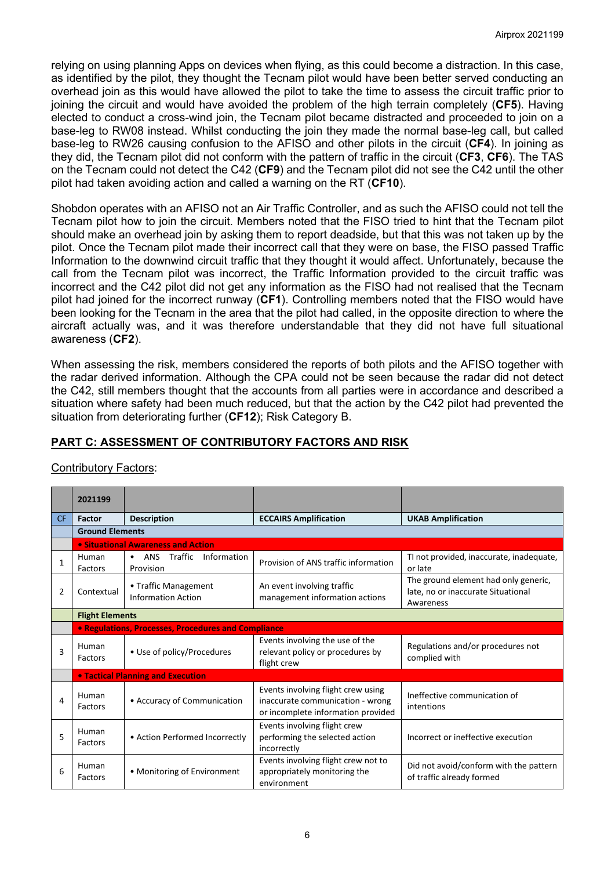relying on using planning Apps on devices when flying, as this could become a distraction. In this case, as identified by the pilot, they thought the Tecnam pilot would have been better served conducting an overhead join as this would have allowed the pilot to take the time to assess the circuit traffic prior to joining the circuit and would have avoided the problem of the high terrain completely (**CF5**). Having elected to conduct a cross-wind join, the Tecnam pilot became distracted and proceeded to join on a base-leg to RW08 instead. Whilst conducting the join they made the normal base-leg call, but called base-leg to RW26 causing confusion to the AFISO and other pilots in the circuit (**CF4**). In joining as they did, the Tecnam pilot did not conform with the pattern of traffic in the circuit (**CF3**, **CF6**). The TAS on the Tecnam could not detect the C42 (**CF9**) and the Tecnam pilot did not see the C42 until the other pilot had taken avoiding action and called a warning on the RT (**CF10**).

Shobdon operates with an AFISO not an Air Traffic Controller, and as such the AFISO could not tell the Tecnam pilot how to join the circuit. Members noted that the FISO tried to hint that the Tecnam pilot should make an overhead join by asking them to report deadside, but that this was not taken up by the pilot. Once the Tecnam pilot made their incorrect call that they were on base, the FISO passed Traffic Information to the downwind circuit traffic that they thought it would affect. Unfortunately, because the call from the Tecnam pilot was incorrect, the Traffic Information provided to the circuit traffic was incorrect and the C42 pilot did not get any information as the FISO had not realised that the Tecnam pilot had joined for the incorrect runway (**CF1**). Controlling members noted that the FISO would have been looking for the Tecnam in the area that the pilot had called, in the opposite direction to where the aircraft actually was, and it was therefore understandable that they did not have full situational awareness (**CF2**).

When assessing the risk, members considered the reports of both pilots and the AFISO together with the radar derived information. Although the CPA could not be seen because the radar did not detect the C42, still members thought that the accounts from all parties were in accordance and described a situation where safety had been much reduced, but that the action by the C42 pilot had prevented the situation from deteriorating further (**CF12**); Risk Category B.

# **PART C: ASSESSMENT OF CONTRIBUTORY FACTORS AND RISK**

## Contributory Factors:

|           | 2021199                            |                                                         |                                                                                                              |                                                                                         |  |  |
|-----------|------------------------------------|---------------------------------------------------------|--------------------------------------------------------------------------------------------------------------|-----------------------------------------------------------------------------------------|--|--|
| <b>CF</b> | Factor                             | <b>Description</b>                                      | <b>ECCAIRS Amplification</b>                                                                                 | <b>UKAB Amplification</b>                                                               |  |  |
|           | <b>Ground Elements</b>             |                                                         |                                                                                                              |                                                                                         |  |  |
|           | • Situational Awareness and Action |                                                         |                                                                                                              |                                                                                         |  |  |
| 1         | Human<br>Factors                   | Traffic<br>ANS<br>Information<br>$\bullet$<br>Provision | Provision of ANS traffic information                                                                         | TI not provided, inaccurate, inadequate,<br>or late                                     |  |  |
| 2         | Contextual                         | • Traffic Management<br><b>Information Action</b>       | An event involving traffic<br>management information actions                                                 | The ground element had only generic,<br>late, no or inaccurate Situational<br>Awareness |  |  |
|           | <b>Flight Elements</b>             |                                                         |                                                                                                              |                                                                                         |  |  |
|           |                                    | • Regulations, Processes, Procedures and Compliance     |                                                                                                              |                                                                                         |  |  |
| 3         | Human<br>Factors                   | • Use of policy/Procedures                              | Events involving the use of the<br>relevant policy or procedures by<br>flight crew                           | Regulations and/or procedures not<br>complied with                                      |  |  |
|           |                                    | <b>• Tactical Planning and Execution</b>                |                                                                                                              |                                                                                         |  |  |
| 4         | Human<br>Factors                   | • Accuracy of Communication                             | Events involving flight crew using<br>inaccurate communication - wrong<br>or incomplete information provided | Ineffective communication of<br>intentions                                              |  |  |
| 5         | Human<br>Factors                   | • Action Performed Incorrectly                          | Events involving flight crew<br>performing the selected action<br>incorrectly                                | Incorrect or ineffective execution                                                      |  |  |
| 6         | Human<br>Factors                   | • Monitoring of Environment                             | Events involving flight crew not to<br>appropriately monitoring the<br>environment                           | Did not avoid/conform with the pattern<br>of traffic already formed                     |  |  |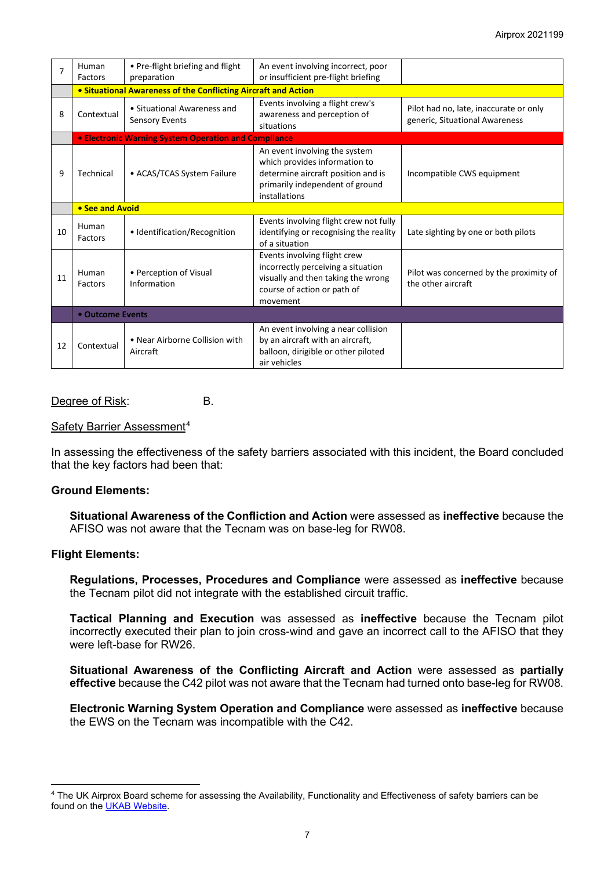| 7  | Human<br>Factors                                               | • Pre-flight briefing and flight<br>preparation             | An event involving incorrect, poor<br>or insufficient pre-flight briefing                                                                                |                                                                          |  |  |
|----|----------------------------------------------------------------|-------------------------------------------------------------|----------------------------------------------------------------------------------------------------------------------------------------------------------|--------------------------------------------------------------------------|--|--|
|    | • Situational Awareness of the Conflicting Aircraft and Action |                                                             |                                                                                                                                                          |                                                                          |  |  |
| 8  | Contextual                                                     | • Situational Awareness and<br><b>Sensory Events</b>        | Events involving a flight crew's<br>awareness and perception of<br>situations                                                                            | Pilot had no, late, inaccurate or only<br>generic, Situational Awareness |  |  |
|    |                                                                | <b>• Electronic Warning System Operation and Compliance</b> |                                                                                                                                                          |                                                                          |  |  |
| 9  | Technical                                                      | • ACAS/TCAS System Failure                                  | An event involving the system<br>which provides information to<br>determine aircraft position and is<br>primarily independent of ground<br>installations | Incompatible CWS equipment                                               |  |  |
|    | • See and Avoid                                                |                                                             |                                                                                                                                                          |                                                                          |  |  |
| 10 | Human<br>Factors                                               | • Identification/Recognition                                | Events involving flight crew not fully<br>identifying or recognising the reality<br>of a situation                                                       | Late sighting by one or both pilots                                      |  |  |
| 11 | Human<br>Factors                                               | • Perception of Visual<br>Information                       | Events involving flight crew<br>incorrectly perceiving a situation<br>visually and then taking the wrong<br>course of action or path of<br>movement      | Pilot was concerned by the proximity of<br>the other aircraft            |  |  |
|    | • Outcome Events                                               |                                                             |                                                                                                                                                          |                                                                          |  |  |
| 12 | Contextual                                                     | • Near Airborne Collision with<br>Aircraft                  | An event involving a near collision<br>by an aircraft with an aircraft,<br>balloon, dirigible or other piloted<br>air vehicles                           |                                                                          |  |  |

#### Degree of Risk: B.

#### Safety Barrier Assessment[4](#page-6-0)

In assessing the effectiveness of the safety barriers associated with this incident, the Board concluded that the key factors had been that:

#### **Ground Elements:**

**Situational Awareness of the Confliction and Action** were assessed as **ineffective** because the AFISO was not aware that the Tecnam was on base-leg for RW08.

#### **Flight Elements:**

**Regulations, Processes, Procedures and Compliance** were assessed as **ineffective** because the Tecnam pilot did not integrate with the established circuit traffic.

**Tactical Planning and Execution** was assessed as **ineffective** because the Tecnam pilot incorrectly executed their plan to join cross-wind and gave an incorrect call to the AFISO that they were left-base for RW26.

**Situational Awareness of the Conflicting Aircraft and Action** were assessed as **partially effective** because the C42 pilot was not aware that the Tecnam had turned onto base-leg for RW08.

**Electronic Warning System Operation and Compliance** were assessed as **ineffective** because the EWS on the Tecnam was incompatible with the C42.

<span id="page-6-0"></span><sup>4</sup> The UK Airprox Board scheme for assessing the Availability, Functionality and Effectiveness of safety barriers can be found on the [UKAB Website.](http://www.airproxboard.org.uk/Learn-more/Airprox-Barrier-Assessment/)